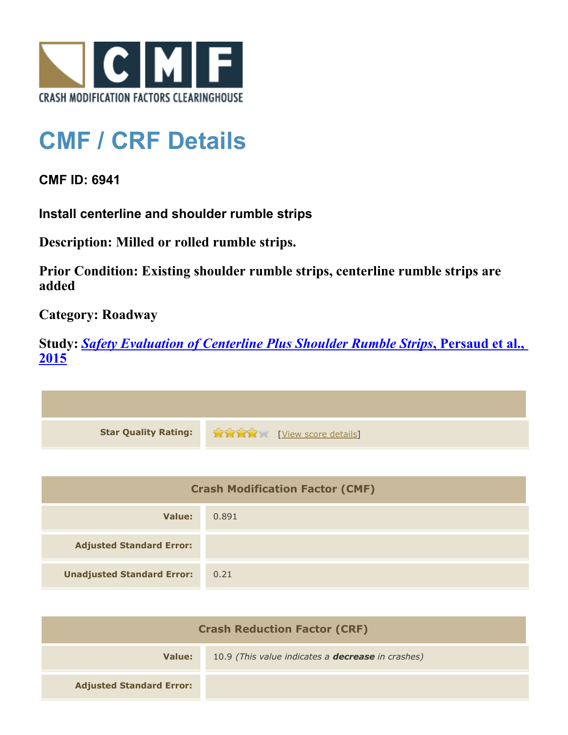

## **CMF / CRF Details**

## **CMF ID: 6941**

**Install centerline and shoulder rumble strips**

**Description: Milled or rolled rumble strips.**

**Prior Condition: Existing shoulder rumble strips, centerline rumble strips are added**

**Category: Roadway**

**Study:** *[Safety Evaluation of Centerline Plus Shoulder Rumble Strips](http://www.cmfclearinghouse.org/study_detail.cfm?stid=411)***[, Persaud et al.,](http://www.cmfclearinghouse.org/study_detail.cfm?stid=411) [2015](http://www.cmfclearinghouse.org/study_detail.cfm?stid=411)**

| <b>Star Quality Rating:</b> | View score details |
|-----------------------------|--------------------|

| <b>Crash Modification Factor (CMF)</b> |       |
|----------------------------------------|-------|
| Value:                                 | 0.891 |
| <b>Adjusted Standard Error:</b>        |       |
| <b>Unadjusted Standard Error:</b>      | 0.21  |

| <b>Crash Reduction Factor (CRF)</b> |                                                          |
|-------------------------------------|----------------------------------------------------------|
| Value:                              | 10.9 (This value indicates a <b>decrease</b> in crashes) |
| <b>Adjusted Standard Error:</b>     |                                                          |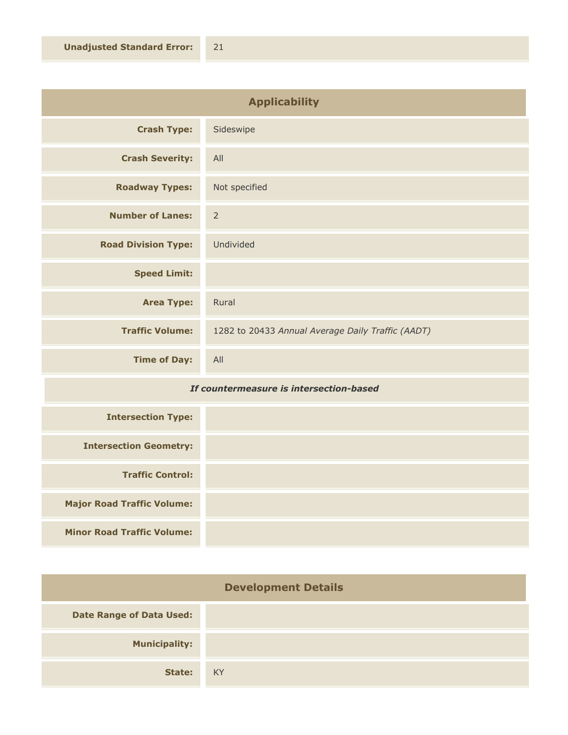| <b>Applicability</b>       |                                                   |
|----------------------------|---------------------------------------------------|
| <b>Crash Type:</b>         | Sideswipe                                         |
| <b>Crash Severity:</b>     | All                                               |
| <b>Roadway Types:</b>      | Not specified                                     |
| <b>Number of Lanes:</b>    | $\overline{2}$                                    |
| <b>Road Division Type:</b> | Undivided                                         |
| <b>Speed Limit:</b>        |                                                   |
| <b>Area Type:</b>          | Rural                                             |
| <b>Traffic Volume:</b>     | 1282 to 20433 Annual Average Daily Traffic (AADT) |
| <b>Time of Day:</b>        | All                                               |

## *If countermeasure is intersection-based*

| <b>Intersection Type:</b>         |  |
|-----------------------------------|--|
| <b>Intersection Geometry:</b>     |  |
| <b>Traffic Control:</b>           |  |
| <b>Major Road Traffic Volume:</b> |  |
| <b>Minor Road Traffic Volume:</b> |  |

| <b>Development Details</b>      |    |
|---------------------------------|----|
| <b>Date Range of Data Used:</b> |    |
| <b>Municipality:</b>            |    |
| State:                          | KY |